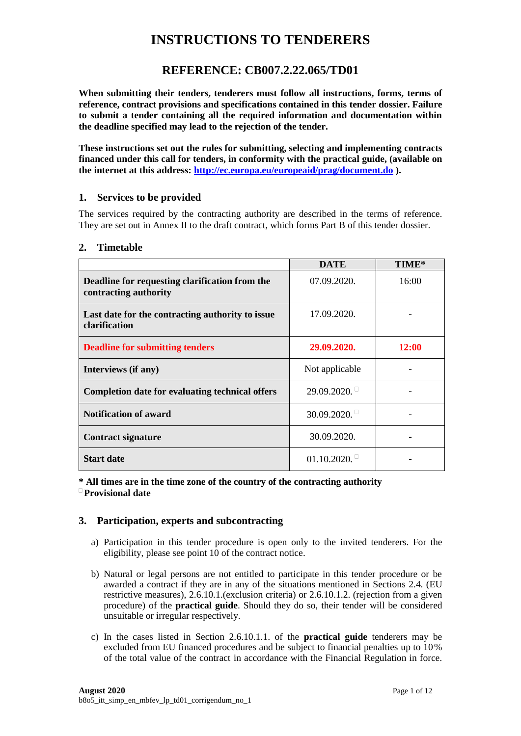# **INSTRUCTIONS TO TENDERERS**

# **REFERENCE: CB007.2.22.065/TD01**

**When submitting their tenders, tenderers must follow all instructions, forms, terms of reference, contract provisions and specifications contained in this tender dossier. Failure to submit a tender containing all the required information and documentation within the deadline specified may lead to the rejection of the tender.**

**These instructions set out the rules for submitting, selecting and implementing contracts financed under this call for tenders, in conformity with the practical guide, (available on the internet at this address:<http://ec.europa.eu/europeaid/prag/document.do> ).** 

## **1. Services to be provided**

The services required by the contracting authority are described in the terms of reference. They are set out in Annex II to the draft contract, which forms Part B of this tender dossier.

#### **2. Timetable**

|                                                                         | <b>DATE</b>    | TIME* |
|-------------------------------------------------------------------------|----------------|-------|
| Deadline for requesting clarification from the<br>contracting authority | 07.09.2020.    | 16:00 |
| Last date for the contracting authority to issue<br>clarification       | 17.09.2020.    |       |
| <b>Deadline for submitting tenders</b>                                  | 29.09.2020.    | 12:00 |
| Interviews (if any)                                                     | Not applicable |       |
| <b>Completion date for evaluating technical offers</b>                  | $29.09.2020$ . |       |
| <b>Notification of award</b>                                            | $30.09.2020$ . |       |
| <b>Contract signature</b>                                               | 30.09.2020.    |       |
| <b>Start date</b>                                                       | $01.10.2020$ . |       |

**\* All times are in the time zone of the country of the contracting authority Provisional date**

# **3. Participation, experts and subcontracting**

- a) Participation in this tender procedure is open only to the invited tenderers. For the eligibility, please see point  $10$  of the contract notice.
- b) Natural or legal persons are not entitled to participate in this tender procedure or be awarded a contract if they are in any of the situations mentioned in Sections 2.4. (EU restrictive measures), 2.6.10.1.(exclusion criteria) or 2.6.10.1.2. (rejection from a given procedure) of the **practical guide**. Should they do so, their tender will be considered unsuitable or irregular respectively.
- c) In the cases listed in Section 2.6.10.1.1. of the **practical guide** tenderers may be excluded from EU financed procedures and be subject to financial penalties up to 10% of the total value of the contract in accordance with the Financial Regulation in force.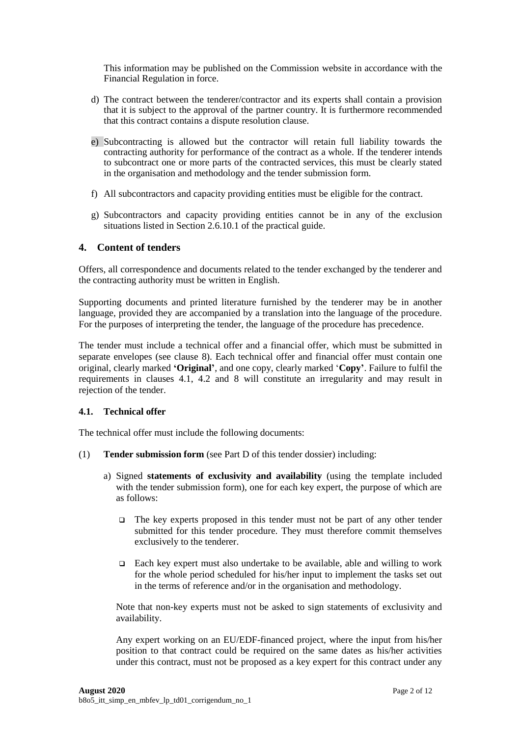This information may be published on the Commission website in accordance with the Financial Regulation in force.

- d) The contract between the tenderer/contractor and its experts shall contain a provision that it is subject to the approval of the partner country. It is furthermore recommended that this contract contains a dispute resolution clause.
- e) Subcontracting is allowed but the contractor will retain full liability towards the contracting authority for performance of the contract as a whole. If the tenderer intends to subcontract one or more parts of the contracted services, this must be clearly stated in the organisation and methodology and the tender submission form.
- f) All subcontractors and capacity providing entities must be eligible for the contract.
- g) Subcontractors and capacity providing entities cannot be in any of the exclusion situations listed in Section 2.6.10.1 of the practical guide.

# **4. Content of tenders**

Offers, all correspondence and documents related to the tender exchanged by the tenderer and the contracting authority must be written in English.

Supporting documents and printed literature furnished by the tenderer may be in another language, provided they are accompanied by a translation into the language of the procedure. For the purposes of interpreting the tender, the language of the procedure has precedence.

The tender must include a technical offer and a financial offer, which must be submitted in separate envelopes (see clause [8\)](#page-5-0). Each technical offer and financial offer must contain one original, clearly marked **'Original'**, and one copy, clearly marked '**Copy'**. Failure to fulfil the requirements in clauses 4.1, 4.2 and [8](#page-5-0) will constitute an irregularity and may result in rejection of the tender.

## **4.1. Technical offer**

The technical offer must include the following documents:

- (1) **Tender submission form** (see Part D of this tender dossier) including:
	- a) Signed **statements of exclusivity and availability** (using the template included with the tender submission form), one for each key expert, the purpose of which are as follows:
		- $\Box$  The key experts proposed in this tender must not be part of any other tender submitted for this tender procedure. They must therefore commit themselves exclusively to the tenderer.
		- $\Box$  Each key expert must also undertake to be available, able and willing to work for the whole period scheduled for his/her input to implement the tasks set out in the terms of reference and/or in the organisation and methodology.

Note that non-key experts must not be asked to sign statements of exclusivity and availability.

Any expert working on an EU/EDF-financed project, where the input from his/her position to that contract could be required on the same dates as his/her activities under this contract, must not be proposed as a key expert for this contract under any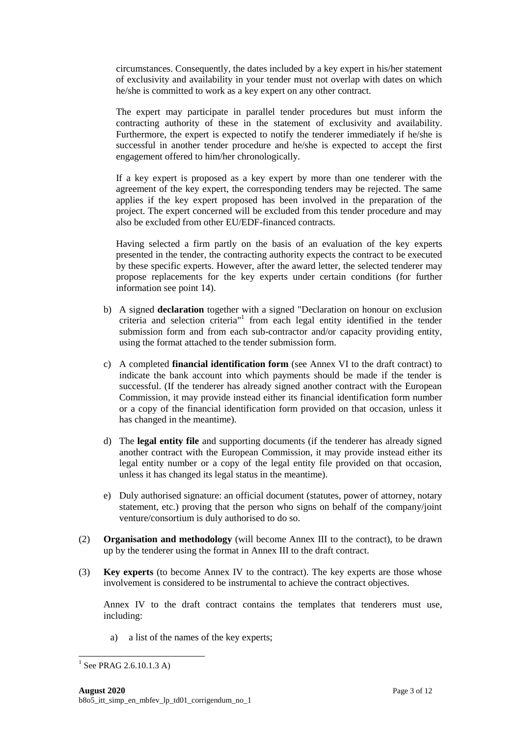circumstances. Consequently, the dates included by a key expert in his/her statement of exclusivity and availability in your tender must not overlap with dates on which he/she is committed to work as a key expert on any other contract.

The expert may participate in parallel tender procedures but must inform the contracting authority of these in the statement of exclusivity and availability. Furthermore, the expert is expected to notify the tenderer immediately if he/she is successful in another tender procedure and he/she is expected to accept the first engagement offered to him/her chronologically.

If a key expert is proposed as a key expert by more than one tenderer with the agreement of the key expert, the corresponding tenders may be rejected. The same applies if the key expert proposed has been involved in the preparation of the project. The expert concerned will be excluded from this tender procedure and may also be excluded from other EU/EDF-financed contracts.

Having selected a firm partly on the basis of an evaluation of the key experts presented in the tender, the contracting authority expects the contract to be executed by these specific experts. However, after the award letter, the selected tenderer may propose replacements for the key experts under certain conditions (for further information see point 14).

- b) A signed **declaration** together with a signed "Declaration on honour on exclusion criteria and selection criteria" 1 from each legal entity identified in the tender submission form and from each sub-contractor and/or capacity providing entity, using the format attached to the tender submission form.
- c) A completed **financial identification form** (see Annex VI to the draft contract) to indicate the bank account into which payments should be made if the tender is successful. (If the tenderer has already signed another contract with the European Commission, it may provide instead either its financial identification form number or a copy of the financial identification form provided on that occasion, unless it has changed in the meantime).
- d) The **legal entity file** and supporting documents (if the tenderer has already signed another contract with the European Commission, it may provide instead either its legal entity number or a copy of the legal entity file provided on that occasion, unless it has changed its legal status in the meantime).
- e) Duly authorised signature: an official document (statutes, power of attorney, notary statement, etc.) proving that the person who signs on behalf of the company/joint venture/consortium is duly authorised to do so.
- (2) **Organisation and methodology** (will become Annex III to the contract), to be drawn up by the tenderer using the format in Annex III to the draft contract.
- (3) **Key experts** (to become Annex IV to the contract). The key experts are those whose involvement is considered to be instrumental to achieve the contract objectives.

Annex IV to the draft contract contains the templates that tenderers must use, including:

a) a list of the names of the key experts;

 $\overline{a}$ 

 $^{1}$  See PRAG 2.6.10.1.3 A)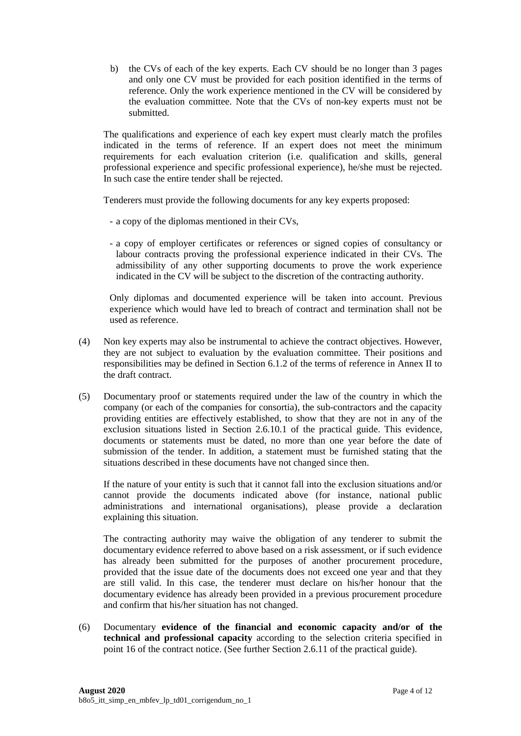b) the CVs of each of the key experts. Each CV should be no longer than 3 pages and only one CV must be provided for each position identified in the terms of reference. Only the work experience mentioned in the CV will be considered by the evaluation committee. Note that the CVs of non-key experts must not be submitted.

The qualifications and experience of each key expert must clearly match the profiles indicated in the terms of reference. If an expert does not meet the minimum requirements for each evaluation criterion (i.e. qualification and skills, general professional experience and specific professional experience), he/she must be rejected. In such case the entire tender shall be rejected.

Tenderers must provide the following documents for any key experts proposed:

- a copy of the diplomas mentioned in their CVs,
- a copy of employer certificates or references or signed copies of consultancy or labour contracts proving the professional experience indicated in their CVs. The admissibility of any other supporting documents to prove the work experience indicated in the CV will be subject to the discretion of the contracting authority.

Only diplomas and documented experience will be taken into account. Previous experience which would have led to breach of contract and termination shall not be used as reference.

- (4) Non key experts may also be instrumental to achieve the contract objectives. However, they are not subject to evaluation by the evaluation committee. Their positions and responsibilities may be defined in Section 6.1.2 of the terms of reference in Annex II to the draft contract.
- (5) Documentary proof or statements required under the law of the country in which the company (or each of the companies for consortia), the sub-contractors and the capacity providing entities are effectively established, to show that they are not in any of the exclusion situations listed in Section 2.6.10.1 of the practical guide. This evidence, documents or statements must be dated, no more than one year before the date of submission of the tender. In addition, a statement must be furnished stating that the situations described in these documents have not changed since then.

If the nature of your entity is such that it cannot fall into the exclusion situations and/or cannot provide the documents indicated above (for instance, national public administrations and international organisations), please provide a declaration explaining this situation.

The contracting authority may waive the obligation of any tenderer to submit the documentary evidence referred to above based on a risk assessment, or if such evidence has already been submitted for the purposes of another procurement procedure, provided that the issue date of the documents does not exceed one year and that they are still valid. In this case, the tenderer must declare on his/her honour that the documentary evidence has already been provided in a previous procurement procedure and confirm that his/her situation has not changed.

(6) Documentary **evidence of the financial and economic capacity and/or of the technical and professional capacity** according to the selection criteria specified in point 16 of the contract notice. (See further Section 2.6.11 of the practical guide).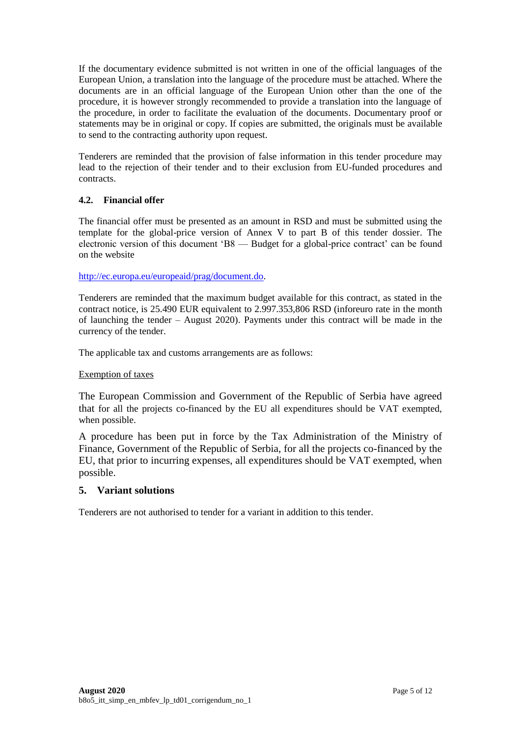If the documentary evidence submitted is not written in one of the official languages of the European Union, a translation into the language of the procedure must be attached. Where the documents are in an official language of the European Union other than the one of the procedure, it is however strongly recommended to provide a translation into the language of the procedure, in order to facilitate the evaluation of the documents. Documentary proof or statements may be in original or copy. If copies are submitted, the originals must be available to send to the contracting authority upon request.

Tenderers are reminded that the provision of false information in this tender procedure may lead to the rejection of their tender and to their exclusion from EU-funded procedures and contracts.

# **4.2. Financial offer**

The financial offer must be presented as an amount in RSD and must be submitted using the template for the global-price version of Annex V to part B of this tender dossier. The electronic version of this document 'B8 — Budget for a global-price contract' can be found on the website

[http://ec.europa.eu/europeaid/prag/document.do.](http://ec.europa.eu/europeaid/prag/document.do)

Tenderers are reminded that the maximum budget available for this contract, as stated in the contract notice, is 25.490 EUR equivalent to 2.997.353,806 RSD (inforeuro rate in the month of launching the tender – August 2020). Payments under this contract will be made in the currency of the tender.

The applicable tax and customs arrangements are as follows:

# Exemption of taxes

The European Commission and Government of the Republic of Serbia have agreed that for all the projects co-financed by the EU all expenditures should be VAT exempted, when possible.

A procedure has been put in force by the Tax Administration of the Ministry of Finance, Government of the Republic of Serbia, for all the projects co-financed by the EU, that prior to incurring expenses, all expenditures should be VAT exempted, when possible.

# **5. Variant solutions**

Tenderers are not authorised to tender for a variant in addition to this tender.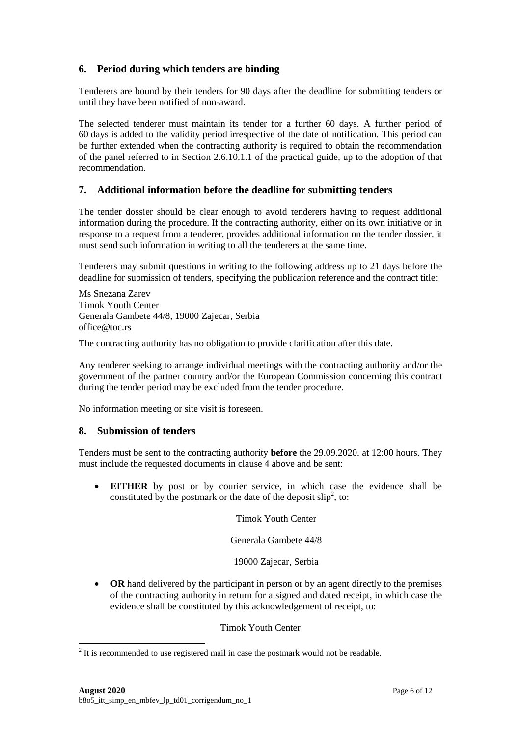# **6. Period during which tenders are binding**

Tenderers are bound by their tenders for 90 days after the deadline for submitting tenders or until they have been notified of non-award.

The selected tenderer must maintain its tender for a further 60 days. A further period of 60 days is added to the validity period irrespective of the date of notification. This period can be further extended when the contracting authority is required to obtain the recommendation of the panel referred to in Section 2.6.10.1.1 of the practical guide, up to the adoption of that recommendation.

# **7. Additional information before the deadline for submitting tenders**

The tender dossier should be clear enough to avoid tenderers having to request additional information during the procedure. If the contracting authority, either on its own initiative or in response to a request from a tenderer, provides additional information on the tender dossier, it must send such information in writing to all the tenderers at the same time.

Tenderers may submit questions in writing to the following address up to 21 days before the deadline for submission of tenders, specifying the publication reference and the contract title:

Ms Snezana Zarev Timok Youth Center Generala Gambete 44/8, 19000 Zajecar, Serbia office@toc.rs

The contracting authority has no obligation to provide clarification after this date.

Any tenderer seeking to arrange individual meetings with the contracting authority and/or the government of the partner country and/or the European Commission concerning this contract during the tender period may be excluded from the tender procedure.

No information meeting or site visit is foreseen.

# <span id="page-5-0"></span>**8. Submission of tenders**

Tenders must be sent to the contracting authority **before** the 29.09.2020. at 12:00 hours. They must include the requested documents in clause 4 above and be sent:

 **EITHER** by post or by courier service, in which case the evidence shall be constituted by the postmark or the date of the deposit  $\text{slip}^2$ , to:

Timok Youth Center

Generala Gambete 44/8

19000 Zajecar, Serbia

• OR hand delivered by the participant in person or by an agent directly to the premises of the contracting authority in return for a signed and dated receipt, in which case the evidence shall be constituted by this acknowledgement of receipt, to:

Timok Youth Center

<sup>&</sup>lt;sup>2</sup> It is recommended to use registered mail in case the postmark would not be readable.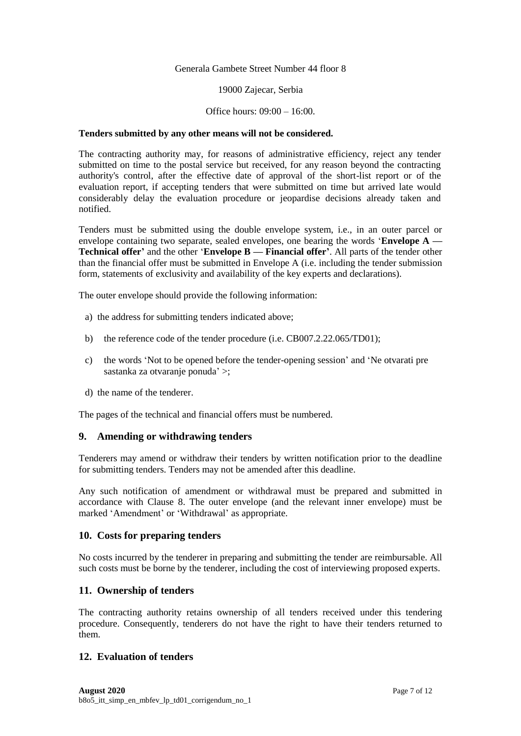#### Generala Gambete Street Number 44 floor 8

#### 19000 Zajecar, Serbia

#### Office hours: 09:00 – 16:00.

#### **Tenders submitted by any other means will not be considered.**

The contracting authority may, for reasons of administrative efficiency, reject any tender submitted on time to the postal service but received, for any reason beyond the contracting authority's control, after the effective date of approval of the short-list report or of the evaluation report, if accepting tenders that were submitted on time but arrived late would considerably delay the evaluation procedure or jeopardise decisions already taken and notified.

Tenders must be submitted using the double envelope system, i.e., in an outer parcel or envelope containing two separate, sealed envelopes, one bearing the words '**Envelope A — Technical offer'** and the other '**Envelope B — Financial offer'**. All parts of the tender other than the financial offer must be submitted in Envelope A (i.e. including the tender submission form, statements of exclusivity and availability of the key experts and declarations).

The outer envelope should provide the following information:

- a) the address for submitting tenders indicated above;
- b) the reference code of the tender procedure (i.e. CB007.2.22.065/TD01);
- c) the words 'Not to be opened before the tender-opening session' and 'Ne otvarati pre sastanka za otvaranje ponuda' >;
- d) the name of the tenderer.

The pages of the technical and financial offers must be numbered.

#### **9. Amending or withdrawing tenders**

Tenderers may amend or withdraw their tenders by written notification prior to the deadline for submitting tenders. Tenders may not be amended after this deadline.

Any such notification of amendment or withdrawal must be prepared and submitted in accordance with Clause [8.](#page-5-0) The outer envelope (and the relevant inner envelope) must be marked 'Amendment' or 'Withdrawal' as appropriate.

#### **10. Costs for preparing tenders**

No costs incurred by the tenderer in preparing and submitting the tender are reimbursable. All such costs must be borne by the tenderer, including the cost of interviewing proposed experts.

## **11. Ownership of tenders**

The contracting authority retains ownership of all tenders received under this tendering procedure. Consequently, tenderers do not have the right to have their tenders returned to them.

# **12. Evaluation of tenders**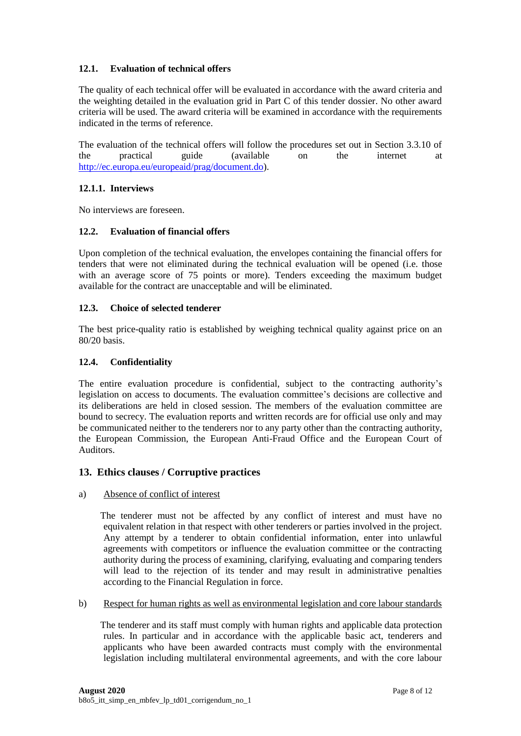## **12.1. Evaluation of technical offers**

The quality of each technical offer will be evaluated in accordance with the award criteria and the weighting detailed in the evaluation grid in Part C of this tender dossier. No other award criteria will be used. The award criteria will be examined in accordance with the requirements indicated in the terms of reference.

The evaluation of the technical offers will follow the procedures set out in Section 3.3.10 of the practical guide (available on the internet at [http://ec.europa.eu/europeaid/prag/document.do\)](http://ec.europa.eu/europeaid/prag/document.do).

## **12.1.1. Interviews**

No interviews are foreseen.

## **12.2. Evaluation of financial offers**

Upon completion of the technical evaluation, the envelopes containing the financial offers for tenders that were not eliminated during the technical evaluation will be opened (i.e. those with an average score of 75 points or more). Tenders exceeding the maximum budget available for the contract are unacceptable and will be eliminated.

## **12.3. Choice of selected tenderer**

The best price-quality ratio is established by weighing technical quality against price on an 80/20 basis.

## **12.4. Confidentiality**

The entire evaluation procedure is confidential, subject to the contracting authority's legislation on access to documents. The evaluation committee's decisions are collective and its deliberations are held in closed session. The members of the evaluation committee are bound to secrecy. The evaluation reports and written records are for official use only and may be communicated neither to the tenderers nor to any party other than the contracting authority, the European Commission, the European Anti-Fraud Office and the European Court of Auditors.

# **13. Ethics clauses / Corruptive practices**

#### a) Absence of conflict of interest

 The tenderer must not be affected by any conflict of interest and must have no equivalent relation in that respect with other tenderers or parties involved in the project. Any attempt by a tenderer to obtain confidential information, enter into unlawful agreements with competitors or influence the evaluation committee or the contracting authority during the process of examining, clarifying, evaluating and comparing tenders will lead to the rejection of its tender and may result in administrative penalties according to the Financial Regulation in force.

#### b) Respect for human rights as well as environmental legislation and core labour standards

 The tenderer and its staff must comply with human rights and applicable data protection rules. In particular and in accordance with the applicable basic act, tenderers and applicants who have been awarded contracts must comply with the environmental legislation including multilateral environmental agreements, and with the core labour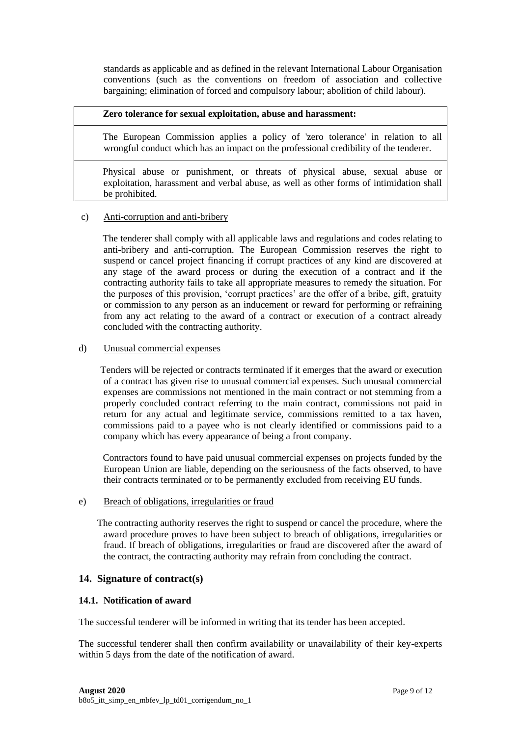standards as applicable and as defined in the relevant International Labour Organisation conventions (such as the conventions on freedom of association and collective bargaining; elimination of forced and compulsory labour; abolition of child labour).

## **Zero tolerance for sexual exploitation, abuse and harassment:**

 The European Commission applies a policy of 'zero tolerance' in relation to all wrongful conduct which has an impact on the professional credibility of the tenderer.

 Physical abuse or punishment, or threats of physical abuse, sexual abuse or exploitation, harassment and verbal abuse, as well as other forms of intimidation shall be prohibited.

## c) Anti-corruption and anti-bribery

 The tenderer shall comply with all applicable laws and regulations and codes relating to anti-bribery and anti-corruption. The European Commission reserves the right to suspend or cancel project financing if corrupt practices of any kind are discovered at any stage of the award process or during the execution of a contract and if the contracting authority fails to take all appropriate measures to remedy the situation. For the purposes of this provision, 'corrupt practices' are the offer of a bribe, gift, gratuity or commission to any person as an inducement or reward for performing or refraining from any act relating to the award of a contract or execution of a contract already concluded with the contracting authority.

#### d) Unusual commercial expenses

 Tenders will be rejected or contracts terminated if it emerges that the award or execution of a contract has given rise to unusual commercial expenses. Such unusual commercial expenses are commissions not mentioned in the main contract or not stemming from a properly concluded contract referring to the main contract, commissions not paid in return for any actual and legitimate service, commissions remitted to a tax haven, commissions paid to a payee who is not clearly identified or commissions paid to a company which has every appearance of being a front company.

 Contractors found to have paid unusual commercial expenses on projects funded by the European Union are liable, depending on the seriousness of the facts observed, to have their contracts terminated or to be permanently excluded from receiving EU funds.

## e) Breach of obligations, irregularities or fraud

The contracting authority reserves the right to suspend or cancel the procedure, where the award procedure proves to have been subject to breach of obligations, irregularities or fraud. If breach of obligations, irregularities or fraud are discovered after the award of the contract, the contracting authority may refrain from concluding the contract.

# **14. Signature of contract(s)**

# **14.1. Notification of award**

The successful tenderer will be informed in writing that its tender has been accepted.

The successful tenderer shall then confirm availability or unavailability of their key-experts within 5 days from the date of the notification of award.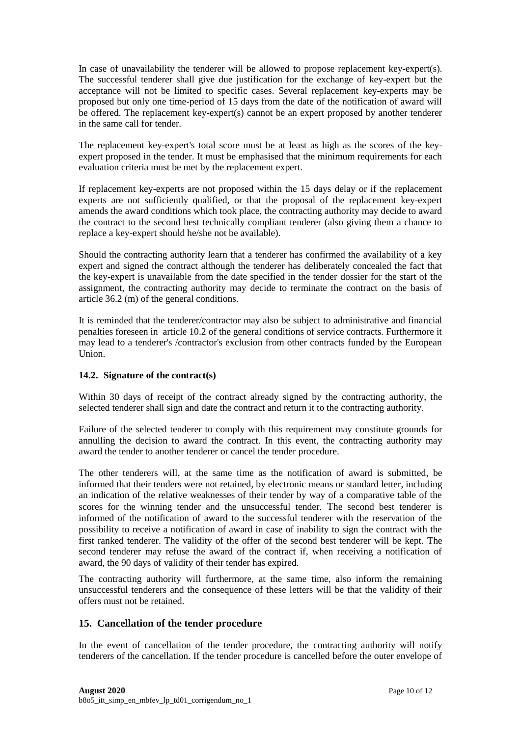In case of unavailability the tenderer will be allowed to propose replacement key-expert(s). The successful tenderer shall give due justification for the exchange of key-expert but the acceptance will not be limited to specific cases. Several replacement key-experts may be proposed but only one time-period of 15 days from the date of the notification of award will be offered. The replacement key-expert(s) cannot be an expert proposed by another tenderer in the same call for tender.

The replacement key-expert's total score must be at least as high as the scores of the keyexpert proposed in the tender. It must be emphasised that the minimum requirements for each evaluation criteria must be met by the replacement expert.

If replacement key-experts are not proposed within the 15 days delay or if the replacement experts are not sufficiently qualified, or that the proposal of the replacement key-expert amends the award conditions which took place, the contracting authority may decide to award the contract to the second best technically compliant tenderer (also giving them a chance to replace a key-expert should he/she not be available).

Should the contracting authority learn that a tenderer has confirmed the availability of a key expert and signed the contract although the tenderer has deliberately concealed the fact that the key-expert is unavailable from the date specified in the tender dossier for the start of the assignment, the contracting authority may decide to terminate the contract on the basis of article 36.2 (m) of the general conditions.

It is reminded that the tenderer/contractor may also be subject to administrative and financial penalties foreseen in article 10.2 of the general conditions of service contracts. Furthermore it may lead to a tenderer's /contractor's exclusion from other contracts funded by the European Union.

# **14.2. Signature of the contract(s)**

Within 30 days of receipt of the contract already signed by the contracting authority, the selected tenderer shall sign and date the contract and return it to the contracting authority.

Failure of the selected tenderer to comply with this requirement may constitute grounds for annulling the decision to award the contract. In this event, the contracting authority may award the tender to another tenderer or cancel the tender procedure.

The other tenderers will, at the same time as the notification of award is submitted, be informed that their tenders were not retained, by electronic means or standard letter, including an indication of the relative weaknesses of their tender by way of a comparative table of the scores for the winning tender and the unsuccessful tender. The second best tenderer is informed of the notification of award to the successful tenderer with the reservation of the possibility to receive a notification of award in case of inability to sign the contract with the first ranked tenderer. The validity of the offer of the second best tenderer will be kept. The second tenderer may refuse the award of the contract if, when receiving a notification of award, the 90 days of validity of their tender has expired.

The contracting authority will furthermore, at the same time, also inform the remaining unsuccessful tenderers and the consequence of these letters will be that the validity of their offers must not be retained.

# **15. Cancellation of the tender procedure**

In the event of cancellation of the tender procedure, the contracting authority will notify tenderers of the cancellation. If the tender procedure is cancelled before the outer envelope of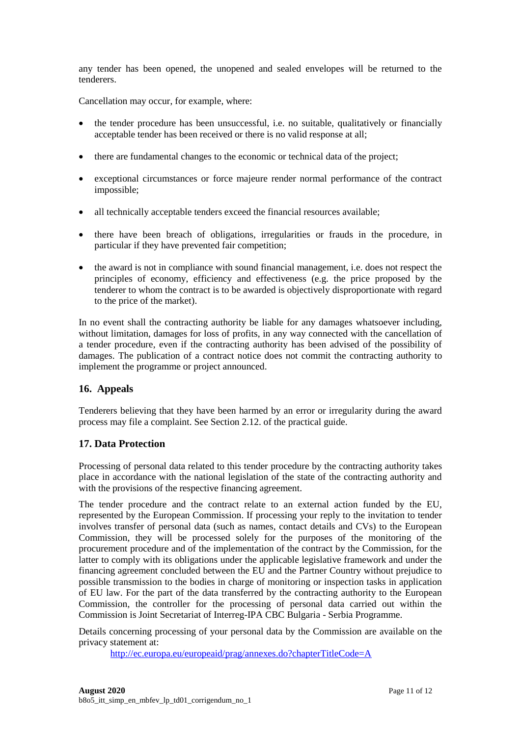any tender has been opened, the unopened and sealed envelopes will be returned to the tenderers.

Cancellation may occur, for example, where:

- the tender procedure has been unsuccessful, i.e. no suitable, qualitatively or financially acceptable tender has been received or there is no valid response at all;
- there are fundamental changes to the economic or technical data of the project;
- exceptional circumstances or force majeure render normal performance of the contract impossible;
- all technically acceptable tenders exceed the financial resources available;
- there have been breach of obligations, irregularities or frauds in the procedure, in particular if they have prevented fair competition;
- the award is not in compliance with sound financial management, i.e. does not respect the principles of economy, efficiency and effectiveness (e.g. the price proposed by the tenderer to whom the contract is to be awarded is objectively disproportionate with regard to the price of the market).

In no event shall the contracting authority be liable for any damages whatsoever including, without limitation, damages for loss of profits, in any way connected with the cancellation of a tender procedure, even if the contracting authority has been advised of the possibility of damages. The publication of a contract notice does not commit the contracting authority to implement the programme or project announced.

# **16. Appeals**

Tenderers believing that they have been harmed by an error or irregularity during the award process may file a complaint. See Section 2.12. of the practical guide.

# **17. Data Protection**

Processing of personal data related to this tender procedure by the contracting authority takes place in accordance with the national legislation of the state of the contracting authority and with the provisions of the respective financing agreement.

The tender procedure and the contract relate to an external action funded by the EU, represented by the European Commission. If processing your reply to the invitation to tender involves transfer of personal data (such as names, contact details and CVs) to the European Commission, they will be processed solely for the purposes of the monitoring of the procurement procedure and of the implementation of the contract by the Commission, for the latter to comply with its obligations under the applicable legislative framework and under the financing agreement concluded between the EU and the Partner Country without prejudice to possible transmission to the bodies in charge of monitoring or inspection tasks in application of EU law. For the part of the data transferred by the contracting authority to the European Commission, the controller for the processing of personal data carried out within the Commission is Joint Secretariat of Interreg-IPA CBC Bulgaria - Serbia Programme.

Details concerning processing of your personal data by the Commission are available on the privacy statement at:

<http://ec.europa.eu/europeaid/prag/annexes.do?chapterTitleCode=A>